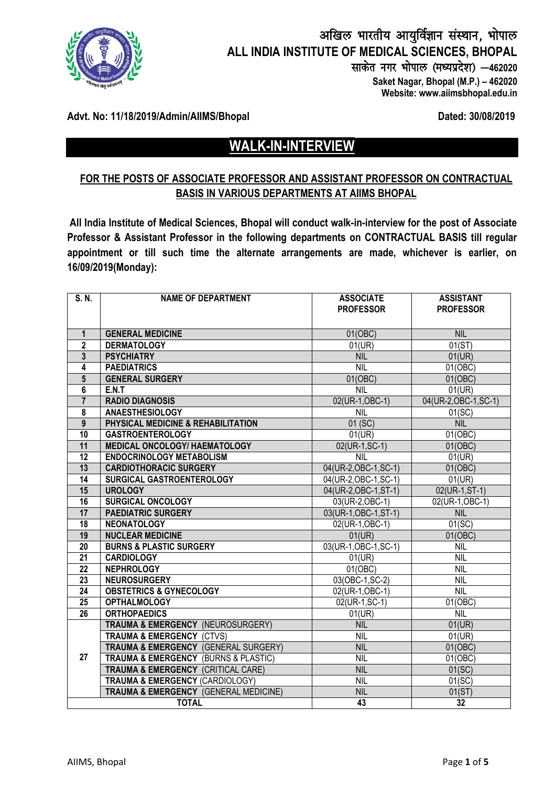

# अखिल भारतीय आयुर्विज्ञान संस्थान, भोपाल **ALL INDIA INSTITUTE OF MEDICAL SCIENCES, BHOPAL** साकेत नगर भोपाल (मध्यप्रदेश) - 462020  **Saket Nagar, Bhopal (M.P.) – 462020**

 **Website: www.aiimsbhopal.edu.in**

## **Advt. No: 11/18/2019/Admin/AIIMS/Bhopal Dated: 30/08/2019**

# **WALK-IN-INTERVIEW**

## **FOR THE POSTS OF ASSOCIATE PROFESSOR AND ASSISTANT PROFESSOR ON CONTRACTUAL BASIS IN VARIOUS DEPARTMENTS AT AIIMS BHOPAL**

**All India Institute of Medical Sciences, Bhopal will conduct walk-in-interview for the post of Associate Professor & Assistant Professor in the following departments on CONTRACTUAL BASIS till regular appointment or till such time the alternate arrangements are made, whichever is earlier, on 16/09/2019(Monday):**

| $\overline{S. N.}$ | <b>NAME OF DEPARTMENT</b>                           | <b>ASSOCIATE</b>      | <b>ASSISTANT</b>      |
|--------------------|-----------------------------------------------------|-----------------------|-----------------------|
|                    |                                                     | <b>PROFESSOR</b>      | <b>PROFESSOR</b>      |
|                    |                                                     |                       |                       |
| $\mathbf{1}$       | <b>GENERAL MEDICINE</b>                             | 01(OBC)               | <b>NIL</b>            |
| $\overline{2}$     | <b>DERMATOLOGY</b>                                  | 01(UR)                | 01(ST)                |
| $\overline{3}$     | <b>PSYCHIATRY</b>                                   | <b>NIL</b>            | 01(UR)                |
| 4                  | <b>PAEDIATRICS</b>                                  | NIL                   | 01(OBC)               |
| $5\phantom{.0}$    | <b>GENERAL SURGERY</b>                              | 01(OBC)               | 01(OBC)               |
| 6                  | E.N.T                                               | NIL                   | 01(UR)                |
| $\overline{7}$     | <b>RADIO DIAGNOSIS</b>                              | 02(UR-1, OBC-1)       | 04(UR-2, OBC-1, SC-1) |
| 8                  | <b>ANAESTHESIOLOGY</b>                              | <b>NIL</b>            | 01(SC)                |
| $\overline{9}$     | PHYSICAL MEDICINE & REHABILITATION                  | 01(SC)                | <b>NIL</b>            |
| 10                 | <b>GASTROENTEROLOGY</b>                             | 01(UR)                | 01(OBC)               |
| 11                 | <b>MEDICAL ONCOLOGY/ HAEMATOLOGY</b>                | 02(UR-1, SC-1)        | 01(OBC)               |
| 12                 | <b>ENDOCRINOLOGY METABOLISM</b>                     | <b>NIL</b>            | 01(UR)                |
| 13                 | <b>CARDIOTHORACIC SURGERY</b>                       | 04(UR-2, OBC-1, SC-1) | 01(OBC)               |
| 14                 | SURGICAL GASTROENTEROLOGY                           | 04(UR-2, OBC-1, SC-1) | 01(UR)                |
| 15                 | <b>UROLOGY</b>                                      | 04(UR-2, OBC-1, ST-1) | $02(UR-1, ST-1)$      |
| 16                 | <b>SURGICAL ONCOLOGY</b>                            | 03(UR-2, OBC-1)       | 02(UR-1, OBC-1)       |
| 17                 | <b>PAEDIATRIC SURGERY</b>                           | 03(UR-1, OBC-1, ST-1) | <b>NIL</b>            |
| $\overline{18}$    | <b>NEONATOLOGY</b>                                  | 02(UR-1, OBC-1)       | 01(SC)                |
| 19                 | <b>NUCLEAR MEDICINE</b>                             | 01(UR)                | 01(OBC)               |
| $\overline{20}$    | <b>BURNS &amp; PLASTIC SURGERY</b>                  | 03(UR-1, OBC-1, SC-1) | <b>NIL</b>            |
| $\overline{21}$    | <b>CARDIOLOGY</b>                                   | 01(UR)                | <b>NIL</b>            |
| $\overline{22}$    | <b>NEPHROLOGY</b>                                   | 01(OBC)               | <b>NIL</b>            |
| $\overline{23}$    | <b>NEUROSURGERY</b>                                 | 03(OBC-1, SC-2)       | <b>NIL</b>            |
| $\overline{24}$    | <b>OBSTETRICS &amp; GYNECOLOGY</b>                  | 02(UR-1,OBC-1)        | <b>NIL</b>            |
| $\overline{25}$    | <b>OPTHALMOLOGY</b>                                 | 02(UR-1, SC-1)        | 01(OBC)               |
| $\overline{26}$    | <b>ORTHOPAEDICS</b>                                 | 01(UR)                | <b>NIL</b>            |
|                    | TRAUMA & EMERGENCY (NEUROSURGERY)                   | <b>NIL</b>            | 01(UR)                |
|                    | <b>TRAUMA &amp; EMERGENCY (CTVS)</b>                | <b>NIL</b>            | 01(UR)                |
|                    | TRAUMA & EMERGENCY (GENERAL SURGERY)                | <b>NIL</b>            | 01(OBC)               |
| 27                 | <b>TRAUMA &amp; EMERGENCY (BURNS &amp; PLASTIC)</b> | <b>NIL</b>            | 01(OBC)               |
|                    | <b>TRAUMA &amp; EMERGENCY (CRITICAL CARE)</b>       | <b>NIL</b>            | 01(SC)                |
|                    | TRAUMA & EMERGENCY (CARDIOLOGY)                     | <b>NIL</b>            | 01(SC)                |
|                    | TRAUMA & EMERGENCY (GENERAL MEDICINE)               | <b>NIL</b>            | 01(ST)                |
| <b>TOTAL</b>       |                                                     | 43                    | 32                    |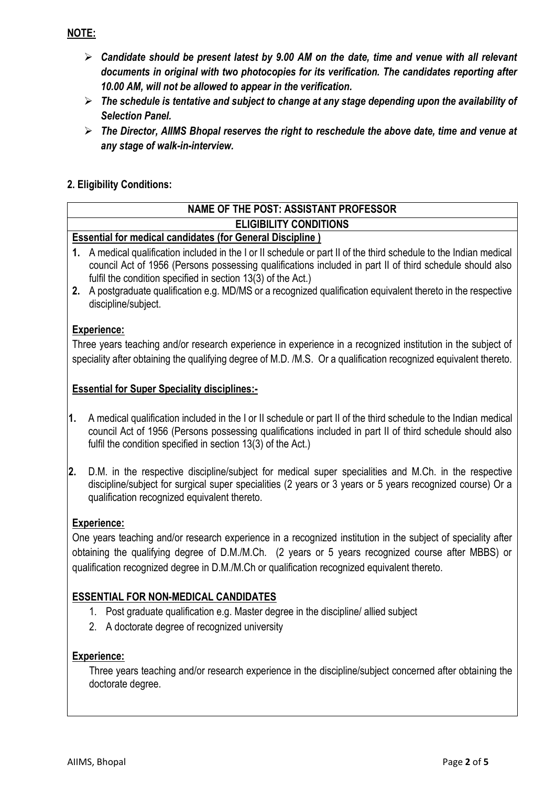## **NOTE:**

- *Candidate should be present latest by 9.00 AM on the date, time and venue with all relevant documents in original with two photocopies for its verification. The candidates reporting after 10.00 AM, will not be allowed to appear in the verification.*
- *The schedule is tentative and subject to change at any stage depending upon the availability of Selection Panel.*
- *The Director, AIIMS Bhopal reserves the right to reschedule the above date, time and venue at any stage of walk-in-interview.*

## **2. Eligibility Conditions:**

## **NAME OF THE POST: ASSISTANT PROFESSOR ELIGIBILITY CONDITIONS**

## **Essential for medical candidates (for General Discipline )**

- **1.** A medical qualification included in the I or II schedule or part II of the third schedule to the Indian medical council Act of 1956 (Persons possessing qualifications included in part II of third schedule should also fulfil the condition specified in section 13(3) of the Act.)
- **2.** A postgraduate qualification e.g. MD/MS or a recognized qualification equivalent thereto in the respective discipline/subject.

## **Experience:**

Three years teaching and/or research experience in experience in a recognized institution in the subject of speciality after obtaining the qualifying degree of M.D. /M.S. Or a qualification recognized equivalent thereto.

## **Essential for Super Speciality disciplines:-**

- **1.** A medical qualification included in the I or II schedule or part II of the third schedule to the Indian medical council Act of 1956 (Persons possessing qualifications included in part II of third schedule should also fulfil the condition specified in section 13(3) of the Act.)
- **2.** D.M. in the respective discipline/subject for medical super specialities and M.Ch. in the respective discipline/subject for surgical super specialities (2 years or 3 years or 5 years recognized course) Or a qualification recognized equivalent thereto.

## **Experience:**

One years teaching and/or research experience in a recognized institution in the subject of speciality after obtaining the qualifying degree of D.M./M.Ch. (2 years or 5 years recognized course after MBBS) or qualification recognized degree in D.M./M.Ch or qualification recognized equivalent thereto.

## **ESSENTIAL FOR NON-MEDICAL CANDIDATES**

- 1. Post graduate qualification e.g. Master degree in the discipline/ allied subject
- 2. A doctorate degree of recognized university

## **Experience:**

Three years teaching and/or research experience in the discipline/subject concerned after obtaining the doctorate degree.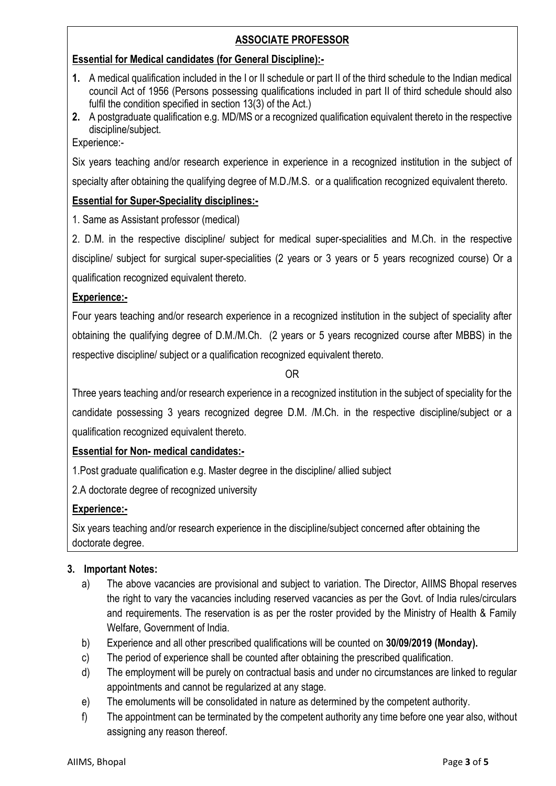## **ASSOCIATE PROFESSOR**

## **Essential for Medical candidates (for General Discipline):-**

- **1.** A medical qualification included in the I or II schedule or part II of the third schedule to the Indian medical council Act of 1956 (Persons possessing qualifications included in part II of third schedule should also fulfil the condition specified in section 13(3) of the Act.)
- **2.** A postgraduate qualification e.g. MD/MS or a recognized qualification equivalent thereto in the respective discipline/subject.

Experience:-

Six years teaching and/or research experience in experience in a recognized institution in the subject of

specialty after obtaining the qualifying degree of M.D./M.S. or a qualification recognized equivalent thereto.

## **Essential for Super-Speciality disciplines:-**

1. Same as Assistant professor (medical)

2. D.M. in the respective discipline/ subject for medical super-specialities and M.Ch. in the respective discipline/ subject for surgical super-specialities (2 years or 3 years or 5 years recognized course) Or a qualification recognized equivalent thereto.

## **Experience:-**

Four years teaching and/or research experience in a recognized institution in the subject of speciality after obtaining the qualifying degree of D.M./M.Ch. (2 years or 5 years recognized course after MBBS) in the respective discipline/ subject or a qualification recognized equivalent thereto.

OR

Three years teaching and/or research experience in a recognized institution in the subject of speciality for the candidate possessing 3 years recognized degree D.M. /M.Ch. in the respective discipline/subject or a qualification recognized equivalent thereto.

## **Essential for Non- medical candidates:-**

1.Post graduate qualification e.g. Master degree in the discipline/ allied subject

2.A doctorate degree of recognized university

## **Experience:-**

Six years teaching and/or research experience in the discipline/subject concerned after obtaining the doctorate degree.

## **3. Important Notes:**

- a) The above vacancies are provisional and subject to variation. The Director, AIIMS Bhopal reserves the right to vary the vacancies including reserved vacancies as per the Govt. of India rules/circulars and requirements. The reservation is as per the roster provided by the Ministry of Health & Family Welfare, Government of India.
- b) Experience and all other prescribed qualifications will be counted on **30/09/2019 (Monday).**
- c) The period of experience shall be counted after obtaining the prescribed qualification.
- d) The employment will be purely on contractual basis and under no circumstances are linked to regular appointments and cannot be regularized at any stage.
- e) The emoluments will be consolidated in nature as determined by the competent authority.
- f) The appointment can be terminated by the competent authority any time before one year also, without assigning any reason thereof.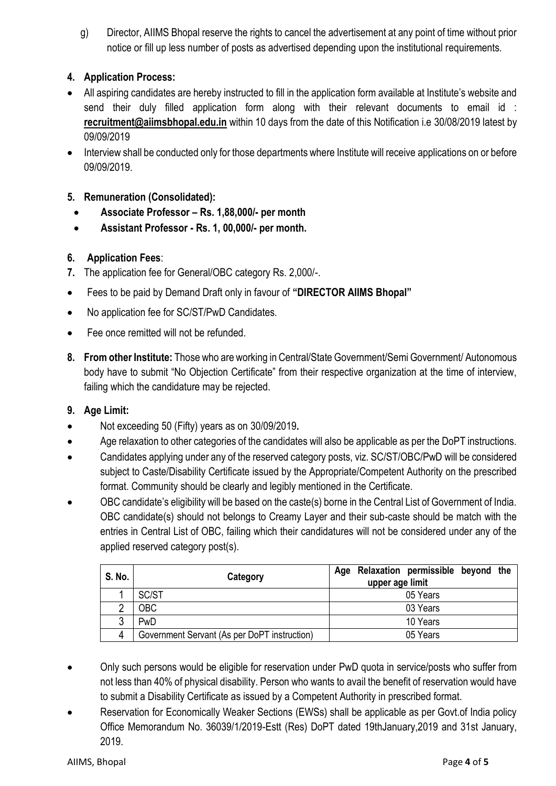g) Director, AIIMS Bhopal reserve the rights to cancel the advertisement at any point of time without prior notice or fill up less number of posts as advertised depending upon the institutional requirements.

## **4. Application Process:**

- All aspiring candidates are hereby instructed to fill in the application form available at Institute's website and send their duly filled application form along with their relevant documents to email id : **[recruitment@aiimsbhopal.edu.in](mailto:recruitment@aiimsbhopal.edu.in)** within 10 days from the date of this Notification i.e 30/08/2019 latest by 09/09/2019
- Interview shall be conducted only for those departments where Institute will receive applications on or before 09/09/2019.

## **5. Remuneration (Consolidated):**

- **Associate Professor – Rs. 1,88,000/- per month**
- **Assistant Professor - Rs. 1, 00,000/- per month.**

## **6. Application Fees**:

- **7.** The application fee for General/OBC category Rs. 2,000/-.
- Fees to be paid by Demand Draft only in favour of **"DIRECTOR AIIMS Bhopal"**
- No application fee for SC/ST/PwD Candidates.
- Fee once remitted will not be refunded.
- **8. From other Institute:** Those who are working in Central/State Government/Semi Government/ Autonomous body have to submit "No Objection Certificate" from their respective organization at the time of interview, failing which the candidature may be rejected.

## **9. Age Limit:**

- Not exceeding 50 (Fifty) years as on 30/09/2019**.**
- Age relaxation to other categories of the candidates will also be applicable as per the DoPT instructions.
- Candidates applying under any of the reserved category posts, viz. SC/ST/OBC/PwD will be considered subject to Caste/Disability Certificate issued by the Appropriate/Competent Authority on the prescribed format. Community should be clearly and legibly mentioned in the Certificate.
- OBC candidate's eligibility will be based on the caste(s) borne in the Central List of Government of India. OBC candidate(s) should not belongs to Creamy Layer and their sub-caste should be match with the entries in Central List of OBC, failing which their candidatures will not be considered under any of the applied reserved category post(s).

| S. No. | Category                                     | Age Relaxation permissible beyond the<br>upper age limit |  |
|--------|----------------------------------------------|----------------------------------------------------------|--|
|        | SC/ST                                        | 05 Years                                                 |  |
| ∩      | <b>OBC</b>                                   | 03 Years                                                 |  |
| 3      | PwD                                          | 10 Years                                                 |  |
| 4      | Government Servant (As per DoPT instruction) | 05 Years                                                 |  |

- Only such persons would be eligible for reservation under PwD quota in service/posts who suffer from not less than 40% of physical disability. Person who wants to avail the benefit of reservation would have to submit a Disability Certificate as issued by a Competent Authority in prescribed format.
- Reservation for Economically Weaker Sections (EWSs) shall be applicable as per Govt.of India policy Office Memorandum No. 36039/1/2019-Estt (Res) DoPT dated 19thJanuary,2019 and 31st January, 2019.